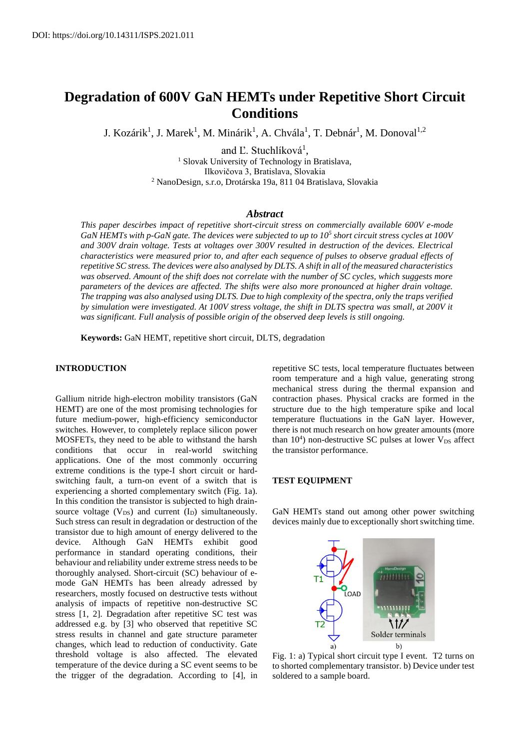# **Degradation of 600V GaN HEMTs under Repetitive Short Circuit Conditions**

J. Kozárik<sup>1</sup>, J. Marek<sup>1</sup>, M. Minárik<sup>1</sup>, A. Chvála<sup>1</sup>, T. Debnár<sup>1</sup>, M. Donoval<sup>1,2</sup>

and Ľ. Stuchlíková<sup>1</sup>, <sup>1</sup> Slovak University of Technology in Bratislava, Ilkovičova 3, Bratislava, Slovakia <sup>2</sup> NanoDesign, s.r.o, Drotárska 19a, 811 04 Bratislava, Slovakia

#### *Abstract*

*This paper descirbes impact of repetitive short-circuit stress on commercially available 600V e-mode GaN HEMTs with p-GaN gate. The devices were subjected to up to 10<sup>5</sup> short circuit stress cycles at 100V and 300V drain voltage. Tests at voltages over 300V resulted in destruction of the devices. Electrical characteristics were measured prior to, and after each sequence of pulses to observe gradual effects of repetitive SC stress. The devices were also analysed by DLTS. A shift in all of the measured characteristics was observed. Amount of the shift does not correlate with the number of SC cycles, which suggests more parameters of the devices are affected. The shifts were also more pronounced at higher drain voltage. The trapping was also analysed using DLTS. Due to high complexity of the spectra, only the traps verified by simulation were investigated. At 100V stress voltage, the shift in DLTS spectra was small, at 200V it was significant. Full analysis of possible origin of the observed deep levels is still ongoing.*

**Keywords:** GaN HEMT, repetitive short circuit, DLTS, degradation

### **INTRODUCTION**

Gallium nitride high-electron mobility transistors (GaN HEMT) are one of the most promising technologies for future medium-power, high-efficiency semiconductor switches. However, to completely replace silicon power MOSFETs, they need to be able to withstand the harsh conditions that occur in real-world switching applications. One of the most commonly occurring extreme conditions is the type-I short circuit or hardswitching fault, a turn-on event of a switch that is experiencing a shorted complementary switch (Fig. 1a). In this condition the transistor is subjected to high drainsource voltage  $(V_{DS})$  and current  $(I_D)$  simultaneously. Such stress can result in degradation or destruction of the transistor due to high amount of energy delivered to the device. Although GaN HEMTs exhibit good performance in standard operating conditions, their behaviour and reliability under extreme stress needs to be thoroughly analysed. Short-circuit (SC) behaviour of emode GaN HEMTs has been already adressed by researchers, mostly focused on destructive tests without analysis of impacts of repetitive non-destructive SC stress [1, 2]. Degradation after repetitive SC test was addressed e.g. by [3] who observed that repetitive SC stress results in channel and gate structure parameter changes, which lead to reduction of conductivity. Gate threshold voltage is also affected. The elevated temperature of the device during a SC event seems to be the trigger of the degradation. According to [4], in repetitive SC tests, local temperature fluctuates between room temperature and a high value, generating strong mechanical stress during the thermal expansion and contraction phases. Physical cracks are formed in the structure due to the high temperature spike and local temperature fluctuations in the GaN layer. However, there is not much research on how greater amounts (more than  $10<sup>4</sup>$ ) non-destructive SC pulses at lower  $V_{DS}$  affect the transistor performance.

## **TEST EQUIPMENT**

GaN HEMTs stand out among other power switching devices mainly due to exceptionally short switching time.



Fig. 1: a) Typical short circuit type I event. T2 turns on to shorted complementary transistor. b) Device under test soldered to a sample board.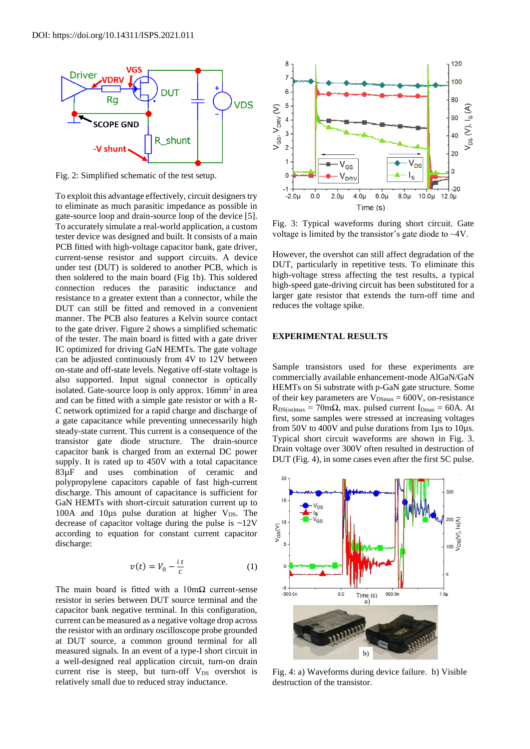

Fig. 2: Simplified schematic of the test setup.

To exploit this advantage effectively, circuit designers try to eliminate as much parasitic impedance as possible in gate-source loop and drain-source loop of the device [5]. To accurately simulate a real-world application, a custom tester device was designed and built. It consists of a main PCB fitted with high-voltage capacitor bank, gate driver, current-sense resistor and support circuits. A device under test (DUT) is soldered to another PCB, which is then soldered to the main board (Fig 1b). This soldered connection reduces the parasitic inductance and resistance to a greater extent than a connector, while the DUT can still be fitted and removed in a convenient manner. The PCB also features a Kelvin source contact to the gate driver. Figure 2 shows a simplified schematic of the tester. The main board is fitted with a gate driver IC optimized for driving GaN HEMTs. The gate voltage can be adjusted continuously from 4V to 12V between on-state and off-state levels. Negative off-state voltage is also supported. Input signal connector is optically isolated. Gate-source loop is only approx. 16mm<sup>2</sup> in area and can be fitted with a simple gate resistor or with a R-C network optimized for a rapid charge and discharge of a gate capacitance while preventing unnecessarily high steady-state current. This current is a consequence of the transistor gate diode structure. The drain-source capacitor bank is charged from an external DC power supply. It is rated up to 450V with a total capacitance 83µF and uses combination of ceramic and polypropylene capacitors capable of fast high-current discharge. This amount of capacitance is sufficient for GaN HEMTs with short-circuit saturation current up to 100A and 10 $\mu$ s pulse duration at higher V<sub>DS</sub>. The decrease of capacitor voltage during the pulse is  $\sim$ 12V according to equation for constant current capacitor discharge:

$$
v(t) = V_0 - \frac{it}{c}
$$
 (1)

The main board is fitted with a  $10 \text{m}\Omega$  current-sense resistor in series between DUT source terminal and the capacitor bank negative terminal. In this configuration, current can be measured as a negative voltage drop across the resistor with an ordinary oscilloscope probe grounded at DUT source, a common ground terminal for all measured signals. In an event of a type-I short circuit in a well-designed real application circuit, turn-on drain current rise is steep, but turn-off  $V_{DS}$  overshot is relatively small due to reduced stray inductance.



Fig. 3: Typical waveforms during short circuit. Gate voltage is limited by the transistor's gate diode to ~4V.

However, the overshot can still affect degradation of the DUT, particularly in repetitive tests. To eliminate this high-voltage stress affecting the test results, a typical high-speed gate-driving circuit has been substituted for a larger gate resistor that extends the turn-off time and reduces the voltage spike.

#### **EXPERIMENTAL RESULTS**

Sample transistors used for these experiments are commercially available enhancement-mode AlGaN/GaN HEMTs on Si substrate with p-GaN gate structure. Some of their key parameters are  $V_{DSmax} = 600V$ , on-resistance  $R_{DS(on)max} = 70 \text{m}\Omega$ , max. pulsed current I<sub>Dmax</sub> = 60A. At first, some samples were stressed at increasing voltages from 50V to 400V and pulse durations from 1µs to 10µs. Typical short circuit waveforms are shown in Fig. 3. Drain voltage over 300V often resulted in destruction of DUT (Fig. 4), in some cases even after the first SC pulse.



Fig. 4: a) Waveforms during device failure. b) Visible destruction of the transistor.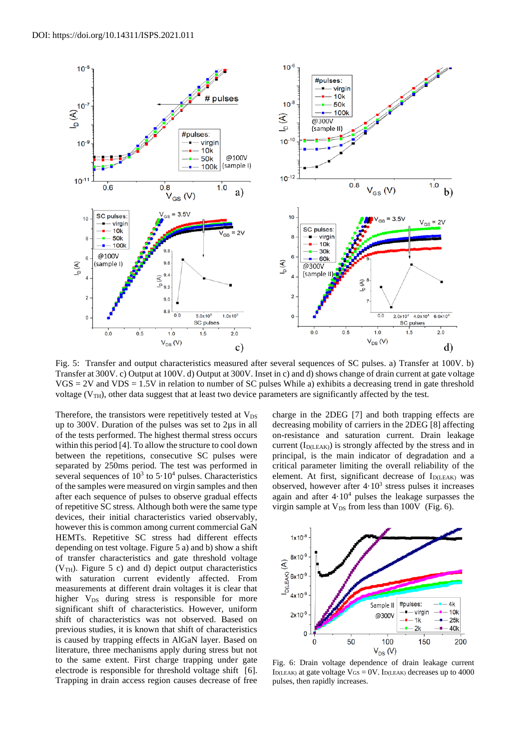

Fig. 5: Transfer and output characteristics measured after several sequences of SC pulses. a) Transfer at 100V. b) Transfer at 300V. c) Output at 100V. d) Output at 300V. Inset in c) and d) shows change of drain current at gate voltage  $VGS = 2V$  and  $VDS = 1.5V$  in relation to number of SC pulses While a) exhibits a decreasing trend in gate threshold voltage ( $V_{TH}$ ), other data suggest that at least two device parameters are significantly affected by the test.

Therefore, the transistors were repetitively tested at  $V_{DS}$ up to 300V. Duration of the pulses was set to 2µs in all of the tests performed. The highest thermal stress occurs within this period [4]. To allow the structure to cool down between the repetitions, consecutive SC pulses were separated by 250ms period. The test was performed in several sequences of  $10^3$  to  $5.10^4$  pulses. Characteristics of the samples were measured on virgin samples and then after each sequence of pulses to observe gradual effects of repetitive SC stress. Although both were the same type devices, their initial characteristics varied observably, however this is common among current commercial GaN HEMTs. Repetitive SC stress had different effects depending on test voltage. Figure 5 a) and b) show a shift of transfer characteristics and gate threshold voltage ( $V<sub>TH</sub>$ ). Figure 5 c) and d) depict output characteristics with saturation current evidently affected. From measurements at different drain voltages it is clear that higher  $V_{DS}$  during stress is responsible for more significant shift of characteristics. However, uniform shift of characteristics was not observed. Based on previous studies, it is known that shift of characteristics is caused by trapping effects in AlGaN layer. Based on literature, three mechanisms apply during stress but not to the same extent. First charge trapping under gate electrode is responsible for threshold voltage shift [6]. Trapping in drain access region causes decrease of free

charge in the 2DEG [7] and both trapping effects are decreasing mobility of carriers in the 2DEG [8] affecting on-resistance and saturation current. Drain leakage current  $(I_{D(LEAK)})$  is strongly affected by the stress and in principal, is the main indicator of degradation and a critical parameter limiting the overall reliability of the element. At first, significant decrease of  $I_{D(LEAK)}$  was observed, however after  $4.10<sup>3</sup>$  stress pulses it increases again and after  $4.10<sup>4</sup>$  pulses the leakage surpasses the virgin sample at  $V_{DS}$  from less than 100V (Fig. 6).



Fig. 6: Drain voltage dependence of drain leakage current I<sub>D(LEAK)</sub> at gate voltage  $V_{GS} = 0V$ . I<sub>D(LEAK)</sub> decreases up to 4000 pulses, then rapidly increases.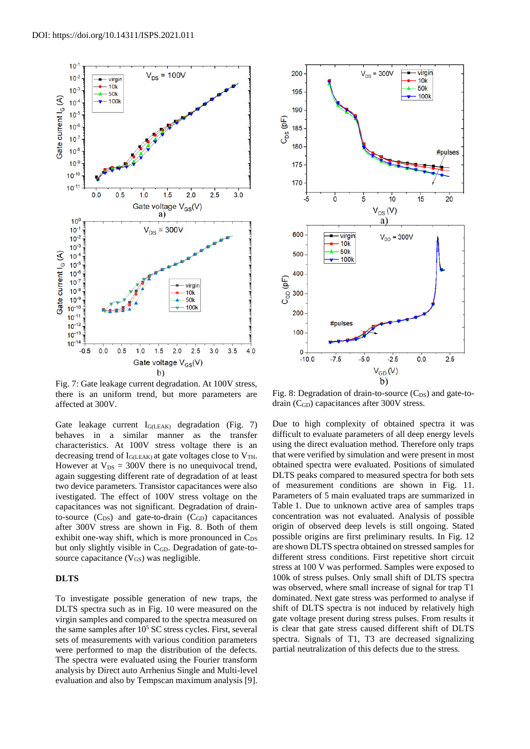

Fig. 7: Gate leakage current degradation. At 100V stress, there is an uniform trend, but more parameters are affected at 300V.

Gate leakage current IG(LEAK) degradation (Fig. 7) behaves in a similar manner as the transfer characteristics. At 100V stress voltage there is an decreasing trend of  $I_{G(LEAK)}$  at gate voltages close to  $V_{TH}$ . However at  $V_{DS} = 300V$  there is no unequivocal trend, again suggesting different rate of degradation of at least two device parameters. Transistor capacitances were also ivestigated. The effect of 100V stress voltage on the capacitances was not significant. Degradation of drainto-source  $(C_{DS})$  and gate-to-drain  $(C_{GD})$  capacitances after 300V stress are shown in Fig. 8. Both of them exhibit one-way shift, which is more pronounced in  $C_{DS}$ but only slightly visible in C<sub>GD</sub>. Degradation of gate-tosource capacitance  $(V_{GS})$  was negligible.

#### **DLTS**

To investigate possible generation of new traps, the DLTS spectra such as in Fig. 10 were measured on the virgin samples and compared to the spectra measured on the same samples after  $10<sup>5</sup>$  SC stress cycles. First, several sets of measurements with various condition parameters were performed to map the distribution of the defects. The spectra were evaluated using the Fourier transform analysis by Direct auto Arrhenius Single and Multi-level evaluation and also by Tempscan maximum analysis [9].



Fig. 8: Degradation of drain-to-source  $(C_{DS})$  and gate-todrain (CGD) capacitances after 300V stress.

Due to high complexity of obtained spectra it was difficult to evaluate parameters of all deep energy levels using the direct evaluation method. Therefore only traps that were verified by simulation and were present in most obtained spectra were evaluated. Positions of simulated DLTS peaks compared to measured spectra for both sets of measurement conditions are shown in Fig. 11. Parameters of 5 main evaluated traps are summarized in Table 1. Due to unknown active area of samples traps concentration was not evaluated. Analysis of possible origin of observed deep levels is still ongoing. Stated possible origins are first preliminary results. In Fig. 12 are shown DLTS spectra obtained on stressed samples for different stress conditions. First repetitive short circuit stress at 100 V was performed. Samples were exposed to 100k of stress pulses. Only small shift of DLTS spectra was observed, where small increase of signal for trap T1 dominated. Next gate stress was performed to analyse if shift of DLTS spectra is not induced by relatively high gate voltage present during stress pulses. From results it is clear that gate stress caused different shift of DLTS spectra. Signals of T1, T3 are decreased signalizing partial neutralization of this defects due to the stress.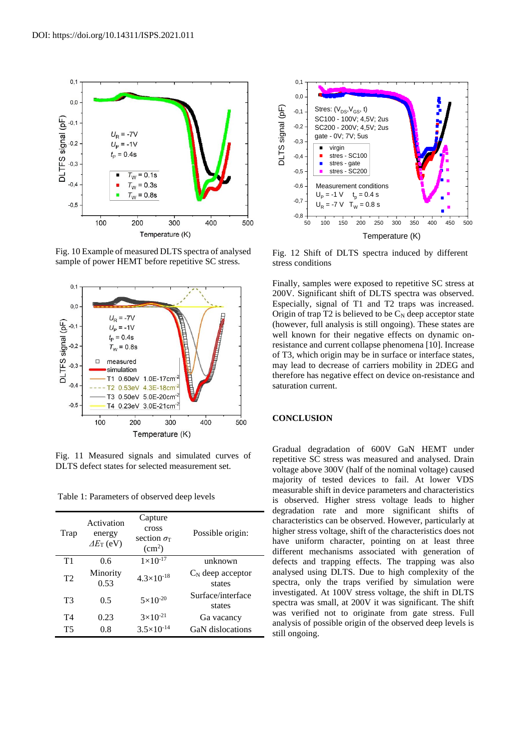

Fig. 10 Example of measured DLTS spectra of analysed sample of power HEMT before repetitive SC stress.



Fig. 11 Measured signals and simulated curves of DLTS defect states for selected measurement set.

Table 1: Parameters of observed deep levels

| Trap           | Activation<br>energy<br>$\Delta E_{\rm T}$ (eV) | Capture<br>cross<br>section $\sigma$<br>$\rm (cm^2)$ | Possible origin:              |
|----------------|-------------------------------------------------|------------------------------------------------------|-------------------------------|
| T1             | 0.6                                             | $1 \times 10^{-17}$                                  | unknown                       |
| T <sub>2</sub> | Minority<br>0.53                                | $4.3 \times 10^{-18}$                                | $C_N$ deep acceptor<br>states |
| T <sub>3</sub> | 0.5                                             | $5 \times 10^{-20}$                                  | Surface/interface<br>states   |
| T4             | 0.23                                            | $3 \times 10^{-21}$                                  | Ga vacancy                    |
| T5             | 0.8                                             | $3.5\times10^{-14}$                                  | GaN dislocations              |



Fig. 12 Shift of DLTS spectra induced by different stress conditions

Finally, samples were exposed to repetitive SC stress at 200V. Significant shift of DLTS spectra was observed. Especially, signal of T1 and T2 traps was increased. Origin of trap  $T2$  is believed to be  $C_N$  deep acceptor state (however, full analysis is still ongoing). These states are well known for their negative effects on dynamic onresistance and current collapse phenomena [10]. Increase of T3, which origin may be in surface or interface states, may lead to decrease of carriers mobility in 2DEG and therefore has negative effect on device on-resistance and saturation current.

#### **CONCLUSION**

Gradual degradation of 600V GaN HEMT under repetitive SC stress was measured and analysed. Drain voltage above 300V (half of the nominal voltage) caused majority of tested devices to fail. At lower VDS measurable shift in device parameters and characteristics is observed. Higher stress voltage leads to higher degradation rate and more significant shifts of characteristics can be observed. However, particularly at higher stress voltage, shift of the characteristics does not have uniform character, pointing on at least three different mechanisms associated with generation of defects and trapping effects. The trapping was also analysed using DLTS. Due to high complexity of the spectra, only the traps verified by simulation were investigated. At 100V stress voltage, the shift in DLTS spectra was small, at 200V it was significant. The shift was verified not to originate from gate stress. Full analysis of possible origin of the observed deep levels is still ongoing.